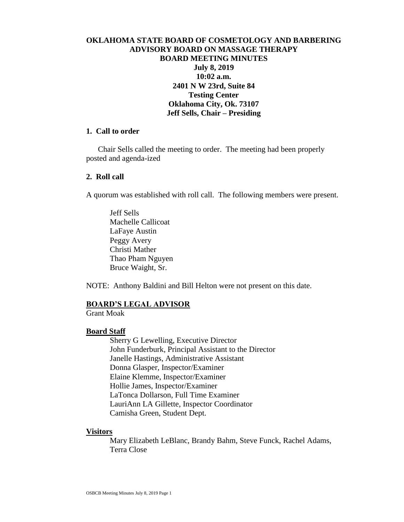# **OKLAHOMA STATE BOARD OF COSMETOLOGY AND BARBERING ADVISORY BOARD ON MASSAGE THERAPY BOARD MEETING MINUTES July 8, 2019 10:02 a.m. 2401 N W 23rd, Suite 84 Testing Center Oklahoma City, Ok. 73107 Jeff Sells, Chair – Presiding**

### **1. Call to order**

 Chair Sells called the meeting to order. The meeting had been properly posted and agenda-ized

#### **2. Roll call**

A quorum was established with roll call. The following members were present.

Jeff Sells Machelle Callicoat LaFaye Austin Peggy Avery Christi Mather Thao Pham Nguyen Bruce Waight, Sr.

NOTE: Anthony Baldini and Bill Helton were not present on this date.

#### **BOARD'S LEGAL ADVISOR**

Grant Moak

#### **Board Staff**

Sherry G Lewelling, Executive Director John Funderburk, Principal Assistant to the Director Janelle Hastings, Administrative Assistant Donna Glasper, Inspector/Examiner Elaine Klemme, Inspector/Examiner Hollie James, Inspector/Examiner LaTonca Dollarson, Full Time Examiner LauriAnn LA Gillette, Inspector Coordinator Camisha Green, Student Dept.

#### **Visitors**

Mary Elizabeth LeBlanc, Brandy Bahm, Steve Funck, Rachel Adams, Terra Close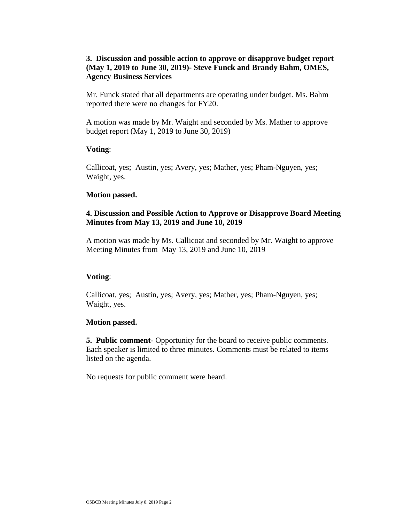# **3. Discussion and possible action to approve or disapprove budget report (May 1, 2019 to June 30, 2019)- Steve Funck and Brandy Bahm, OMES, Agency Business Services**

Mr. Funck stated that all departments are operating under budget. Ms. Bahm reported there were no changes for FY20.

A motion was made by Mr. Waight and seconded by Ms. Mather to approve budget report (May 1, 2019 to June 30, 2019)

### **Voting**:

Callicoat, yes; Austin, yes; Avery, yes; Mather, yes; Pham-Nguyen, yes; Waight, yes.

### **Motion passed.**

# **4. Discussion and Possible Action to Approve or Disapprove Board Meeting Minutes from May 13, 2019 and June 10, 2019**

A motion was made by Ms. Callicoat and seconded by Mr. Waight to approve Meeting Minutes from May 13, 2019 and June 10, 2019

# **Voting**:

Callicoat, yes; Austin, yes; Avery, yes; Mather, yes; Pham-Nguyen, yes; Waight, yes.

#### **Motion passed.**

**5. Public comment**- Opportunity for the board to receive public comments. Each speaker is limited to three minutes. Comments must be related to items listed on the agenda.

No requests for public comment were heard.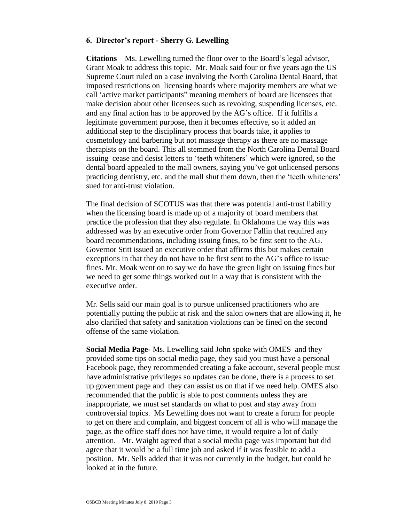#### **6. Director's report - Sherry G. Lewelling**

**Citations**—Ms. Lewelling turned the floor over to the Board's legal advisor, Grant Moak to address this topic. Mr. Moak said four or five years ago the US Supreme Court ruled on a case involving the North Carolina Dental Board, that imposed restrictions on licensing boards where majority members are what we call 'active market participants" meaning members of board are licensees that make decision about other licensees such as revoking, suspending licenses, etc. and any final action has to be approved by the AG's office. If it fulfills a legitimate government purpose, then it becomes effective, so it added an additional step to the disciplinary process that boards take, it applies to cosmetology and barbering but not massage therapy as there are no massage therapists on the board. This all stemmed from the North Carolina Dental Board issuing cease and desist letters to 'teeth whiteners' which were ignored, so the dental board appealed to the mall owners, saying you've got unlicensed persons practicing dentistry, etc. and the mall shut them down, then the 'teeth whiteners' sued for anti-trust violation.

The final decision of SCOTUS was that there was potential anti-trust liability when the licensing board is made up of a majority of board members that practice the profession that they also regulate. In Oklahoma the way this was addressed was by an executive order from Governor Fallin that required any board recommendations, including issuing fines, to be first sent to the AG. Governor Stitt issued an executive order that affirms this but makes certain exceptions in that they do not have to be first sent to the AG's office to issue fines. Mr. Moak went on to say we do have the green light on issuing fines but we need to get some things worked out in a way that is consistent with the executive order.

Mr. Sells said our main goal is to pursue unlicensed practitioners who are potentially putting the public at risk and the salon owners that are allowing it, he also clarified that safety and sanitation violations can be fined on the second offense of the same violation.

**Social Media Page**- Ms. Lewelling said John spoke with OMES and they provided some tips on social media page, they said you must have a personal Facebook page, they recommended creating a fake account, several people must have administrative privileges so updates can be done, there is a process to set up government page and they can assist us on that if we need help. OMES also recommended that the public is able to post comments unless they are inappropriate, we must set standards on what to post and stay away from controversial topics. Ms Lewelling does not want to create a forum for people to get on there and complain, and biggest concern of all is who will manage the page, as the office staff does not have time, it would require a lot of daily attention. Mr. Waight agreed that a social media page was important but did agree that it would be a full time job and asked if it was feasible to add a position. Mr. Sells added that it was not currently in the budget, but could be looked at in the future.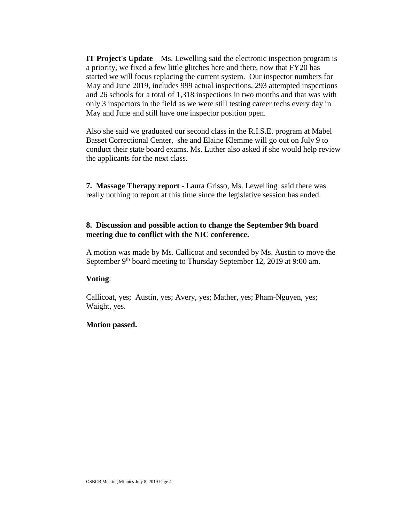**IT Project's Update**—Ms. Lewelling said the electronic inspection program is a priority, we fixed a few little glitches here and there, now that FY20 has started we will focus replacing the current system. Our inspector numbers for May and June 2019, includes 999 actual inspections, 293 attempted inspections and 26 schools for a total of 1,318 inspections in two months and that was with only 3 inspectors in the field as we were still testing career techs every day in May and June and still have one inspector position open.

Also she said we graduated our second class in the R.I.S.E. program at Mabel Basset Correctional Center, she and Elaine Klemme will go out on July 9 to conduct their state board exams. Ms. Luther also asked if she would help review the applicants for the next class.

**7. Massage Therapy report** - Laura Grisso, Ms. Lewelling said there was really nothing to report at this time since the legislative session has ended.

### **8. Discussion and possible action to change the September 9th board meeting due to conflict with the NIC conference.**

A motion was made by Ms. Callicoat and seconded by Ms. Austin to move the September 9<sup>th</sup> board meeting to Thursday September 12, 2019 at 9:00 am.

# **Voting**:

Callicoat, yes; Austin, yes; Avery, yes; Mather, yes; Pham-Nguyen, yes; Waight, yes.

# **Motion passed.**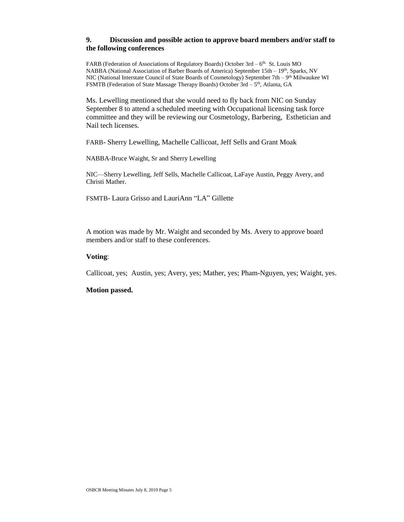#### **9. Discussion and possible action to approve board members and/or staff to the following conferences**

FARB (Federation of Associations of Regulatory Boards) October 3rd - 6<sup>th.</sup> St. Louis MO NABBA (National Association of Barber Boards of America) September 15th – 19th, Sparks, NV NIC (National Interstate Council of State Boards of Cosmetology) September 7th – 9<sup>th</sup> Milwaukee WI FSMTB (Federation of State Massage Therapy Boards) October 3rd - 5<sup>th</sup>, Atlanta, GA

Ms. Lewelling mentioned that she would need to fly back from NIC on Sunday September 8 to attend a scheduled meeting with Occupational licensing task force committee and they will be reviewing our Cosmetology, Barbering, Esthetician and Nail tech licenses.

FARB- Sherry Lewelling, Machelle Callicoat, Jeff Sells and Grant Moak

NABBA-Bruce Waight, Sr and Sherry Lewelling

NIC—Sherry Lewelling, Jeff Sells, Machelle Callicoat, LaFaye Austin, Peggy Avery, and Christi Mather.

FSMTB- Laura Grisso and LauriAnn "LA" Gillette

A motion was made by Mr. Waight and seconded by Ms. Avery to approve board members and/or staff to these conferences.

#### **Voting**:

Callicoat, yes; Austin, yes; Avery, yes; Mather, yes; Pham-Nguyen, yes; Waight, yes.

#### **Motion passed.**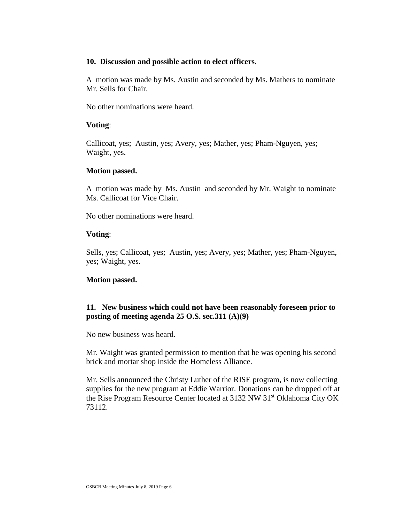#### **10. Discussion and possible action to elect officers.**

A motion was made by Ms. Austin and seconded by Ms. Mathers to nominate Mr. Sells for Chair.

No other nominations were heard.

### **Voting**:

Callicoat, yes; Austin, yes; Avery, yes; Mather, yes; Pham-Nguyen, yes; Waight, yes.

### **Motion passed.**

A motion was made by Ms. Austin and seconded by Mr. Waight to nominate Ms. Callicoat for Vice Chair.

No other nominations were heard.

# **Voting**:

Sells, yes; Callicoat, yes; Austin, yes; Avery, yes; Mather, yes; Pham-Nguyen, yes; Waight, yes.

# **Motion passed.**

# **11. New business which could not have been reasonably foreseen prior to posting of meeting agenda 25 O.S. sec.311 (A)(9)**

No new business was heard.

Mr. Waight was granted permission to mention that he was opening his second brick and mortar shop inside the Homeless Alliance.

Mr. Sells announced the Christy Luther of the RISE program, is now collecting supplies for the new program at Eddie Warrior. Donations can be dropped off at the Rise Program Resource Center located at 3132 NW 31<sup>st</sup> Oklahoma City OK 73112.